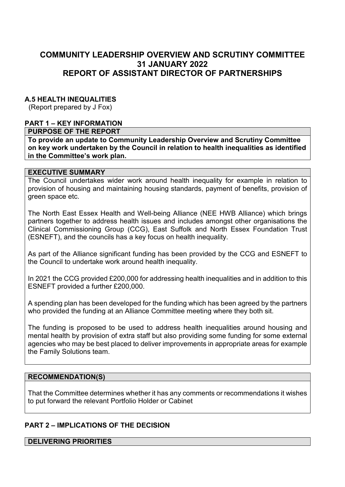# **COMMUNITY LEADERSHIP OVERVIEW AND SCRUTINY COMMITTEE 31 JANUARY 2022 REPORT OF ASSISTANT DIRECTOR OF PARTNERSHIPS**

## **A.5 HEALTH INEQUALITIES**

(Report prepared by J Fox)

### **PART 1 – KEY INFORMATION**

### **PURPOSE OF THE REPORT**

**To provide an update to Community Leadership Overview and Scrutiny Committee on key work undertaken by the Council in relation to health inequalities as identified in the Committee's work plan.** 

#### **EXECUTIVE SUMMARY**

The Council undertakes wider work around health inequality for example in relation to provision of housing and maintaining housing standards, payment of benefits, provision of green space etc.

The North East Essex Health and Well-being Alliance (NEE HWB Alliance) which brings partners together to address health issues and includes amongst other organisations the Clinical Commissioning Group (CCG), East Suffolk and North Essex Foundation Trust (ESNEFT), and the councils has a key focus on health inequality.

As part of the Alliance significant funding has been provided by the CCG and ESNEFT to the Council to undertake work around health inequality.

In 2021 the CCG provided £200,000 for addressing health inequalities and in addition to this ESNEFT provided a further £200,000.

A spending plan has been developed for the funding which has been agreed by the partners who provided the funding at an Alliance Committee meeting where they both sit.

The funding is proposed to be used to address health inequalities around housing and mental health by provision of extra staff but also providing some funding for some external agencies who may be best placed to deliver improvements in appropriate areas for example the Family Solutions team.

### **RECOMMENDATION(S)**

That the Committee determines whether it has any comments or recommendations it wishes to put forward the relevant Portfolio Holder or Cabinet

### **PART 2 – IMPLICATIONS OF THE DECISION**

#### **DELIVERING PRIORITIES**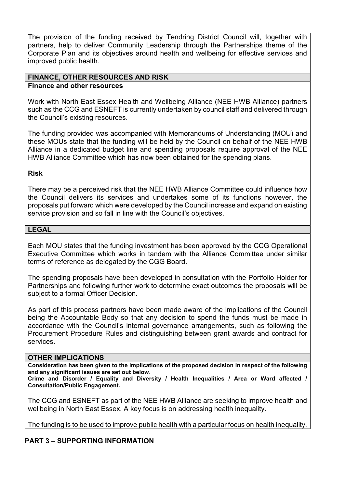The provision of the funding received by Tendring District Council will, together with partners, help to deliver Community Leadership through the Partnerships theme of the Corporate Plan and its objectives around health and wellbeing for effective services and improved public health.

#### **FINANCE, OTHER RESOURCES AND RISK Finance and other resources**

Work with North East Essex Health and Wellbeing Alliance (NEE HWB Alliance) partners such as the CCG and ESNEFT is currently undertaken by council staff and delivered through the Council's existing resources.

The funding provided was accompanied with Memorandums of Understanding (MOU) and these MOUs state that the funding will be held by the Council on behalf of the NEE HWB Alliance in a dedicated budget line and spending proposals require approval of the NEE HWB Alliance Committee which has now been obtained for the spending plans.

## **Risk**

There may be a perceived risk that the NEE HWB Alliance Committee could influence how the Council delivers its services and undertakes some of its functions however, the proposals put forward which were developed by the Council increase and expand on existing service provision and so fall in line with the Council's objectives.

## **LEGAL**

Each MOU states that the funding investment has been approved by the CCG Operational Executive Committee which works in tandem with the Alliance Committee under similar terms of reference as delegated by the CGG Board.

The spending proposals have been developed in consultation with the Portfolio Holder for Partnerships and following further work to determine exact outcomes the proposals will be subject to a formal Officer Decision.

As part of this process partners have been made aware of the implications of the Council being the Accountable Body so that any decision to spend the funds must be made in accordance with the Council's internal governance arrangements, such as following the Procurement Procedure Rules and distinguishing between grant awards and contract for services.

### **OTHER IMPLICATIONS**

**Consideration has been given to the implications of the proposed decision in respect of the following and any significant issues are set out below.** 

**Crime and Disorder / Equality and Diversity / Health Inequalities / Area or Ward affected / Consultation/Public Engagement.** 

The CCG and ESNEFT as part of the NEE HWB Alliance are seeking to improve health and wellbeing in North East Essex. A key focus is on addressing health inequality.

The funding is to be used to improve public health with a particular focus on health inequality.

## **PART 3 – SUPPORTING INFORMATION**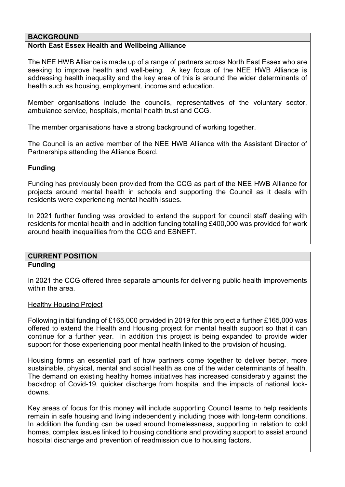### **BACKGROUND**

### **North East Essex Health and Wellbeing Alliance**

The NEE HWB Alliance is made up of a range of partners across North East Essex who are seeking to improve health and well-being. A key focus of the NEE HWB Alliance is addressing health inequality and the key area of this is around the wider determinants of health such as housing, employment, income and education.

Member organisations include the councils, representatives of the voluntary sector, ambulance service, hospitals, mental health trust and CCG.

The member organisations have a strong background of working together.

The Council is an active member of the NEE HWB Alliance with the Assistant Director of Partnerships attending the Alliance Board.

## **Funding**

Funding has previously been provided from the CCG as part of the NEE HWB Alliance for projects around mental health in schools and supporting the Council as it deals with residents were experiencing mental health issues.

In 2021 further funding was provided to extend the support for council staff dealing with residents for mental health and in addition funding totalling £400,000 was provided for work around health inequalities from the CCG and ESNEFT.

### **CURRENT POSITION Funding**

In 2021 the CCG offered three separate amounts for delivering public health improvements within the area.

Healthy Housing Project

Following initial funding of £165,000 provided in 2019 for this project a further £165,000 was offered to extend the Health and Housing project for mental health support so that it can continue for a further year. In addition this project is being expanded to provide wider support for those experiencing poor mental health linked to the provision of housing.

Housing forms an essential part of how partners come together to deliver better, more sustainable, physical, mental and social health as one of the wider determinants of health. The demand on existing healthy homes initiatives has increased considerably against the backdrop of Covid-19, quicker discharge from hospital and the impacts of national lockdowns.

Key areas of focus for this money will include supporting Council teams to help residents remain in safe housing and living independently including those with long-term conditions. In addition the funding can be used around homelessness, supporting in relation to cold homes, complex issues linked to housing conditions and providing support to assist around hospital discharge and prevention of readmission due to housing factors.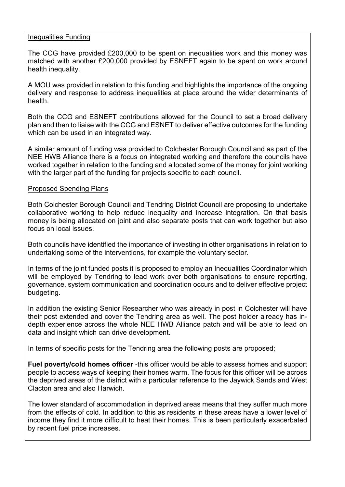### Inequalities Funding

The CCG have provided £200,000 to be spent on inequalities work and this money was matched with another £200,000 provided by ESNEFT again to be spent on work around health inequality.

A MOU was provided in relation to this funding and highlights the importance of the ongoing delivery and response to address inequalities at place around the wider determinants of health.

Both the CCG and ESNEFT contributions allowed for the Council to set a broad delivery plan and then to liaise with the CCG and ESNET to deliver effective outcomes for the funding which can be used in an integrated way.

A similar amount of funding was provided to Colchester Borough Council and as part of the NEE HWB Alliance there is a focus on integrated working and therefore the councils have worked together in relation to the funding and allocated some of the money for joint working with the larger part of the funding for projects specific to each council.

## Proposed Spending Plans

Both Colchester Borough Council and Tendring District Council are proposing to undertake collaborative working to help reduce inequality and increase integration. On that basis money is being allocated on joint and also separate posts that can work together but also focus on local issues.

Both councils have identified the importance of investing in other organisations in relation to undertaking some of the interventions, for example the voluntary sector.

In terms of the joint funded posts it is proposed to employ an Inequalities Coordinator which will be employed by Tendring to lead work over both organisations to ensure reporting, governance, system communication and coordination occurs and to deliver effective project budgeting.

In addition the existing Senior Researcher who was already in post in Colchester will have their post extended and cover the Tendring area as well. The post holder already has indepth experience across the whole NEE HWB Alliance patch and will be able to lead on data and insight which can drive development.

In terms of specific posts for the Tendring area the following posts are proposed;

**Fuel poverty/cold homes officer** -this officer would be able to assess homes and support people to access ways of keeping their homes warm. The focus for this officer will be across the deprived areas of the district with a particular reference to the Jaywick Sands and West Clacton area and also Harwich.

The lower standard of accommodation in deprived areas means that they suffer much more from the effects of cold. In addition to this as residents in these areas have a lower level of income they find it more difficult to heat their homes. This is been particularly exacerbated by recent fuel price increases.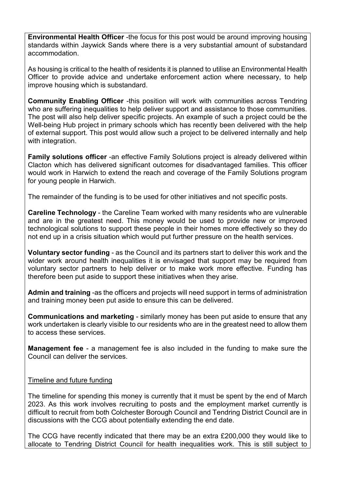**Environmental Health Officer** -the focus for this post would be around improving housing standards within Jaywick Sands where there is a very substantial amount of substandard accommodation.

As housing is critical to the health of residents it is planned to utilise an Environmental Health Officer to provide advice and undertake enforcement action where necessary, to help improve housing which is substandard.

**Community Enabling Officer** -this position will work with communities across Tendring who are suffering inequalities to help deliver support and assistance to those communities. The post will also help deliver specific projects. An example of such a project could be the Well-being Hub project in primary schools which has recently been delivered with the help of external support. This post would allow such a project to be delivered internally and help with integration.

**Family solutions officer** -an effective Family Solutions project is already delivered within Clacton which has delivered significant outcomes for disadvantaged families. This officer would work in Harwich to extend the reach and coverage of the Family Solutions program for young people in Harwich.

The remainder of the funding is to be used for other initiatives and not specific posts.

**Careline Technology** - the Careline Team worked with many residents who are vulnerable and are in the greatest need. This money would be used to provide new or improved technological solutions to support these people in their homes more effectively so they do not end up in a crisis situation which would put further pressure on the health services.

**Voluntary sector funding** - as the Council and its partners start to deliver this work and the wider work around health inequalities it is envisaged that support may be required from voluntary sector partners to help deliver or to make work more effective. Funding has therefore been put aside to support these initiatives when they arise.

**Admin and training** -as the officers and projects will need support in terms of administration and training money been put aside to ensure this can be delivered.

**Communications and marketing** - similarly money has been put aside to ensure that any work undertaken is clearly visible to our residents who are in the greatest need to allow them to access these services.

**Management fee** - a management fee is also included in the funding to make sure the Council can deliver the services.

### Timeline and future funding

The timeline for spending this money is currently that it must be spent by the end of March 2023. As this work involves recruiting to posts and the employment market currently is difficult to recruit from both Colchester Borough Council and Tendring District Council are in discussions with the CCG about potentially extending the end date.

The CCG have recently indicated that there may be an extra £200,000 they would like to allocate to Tendring District Council for health inequalities work. This is still subject to